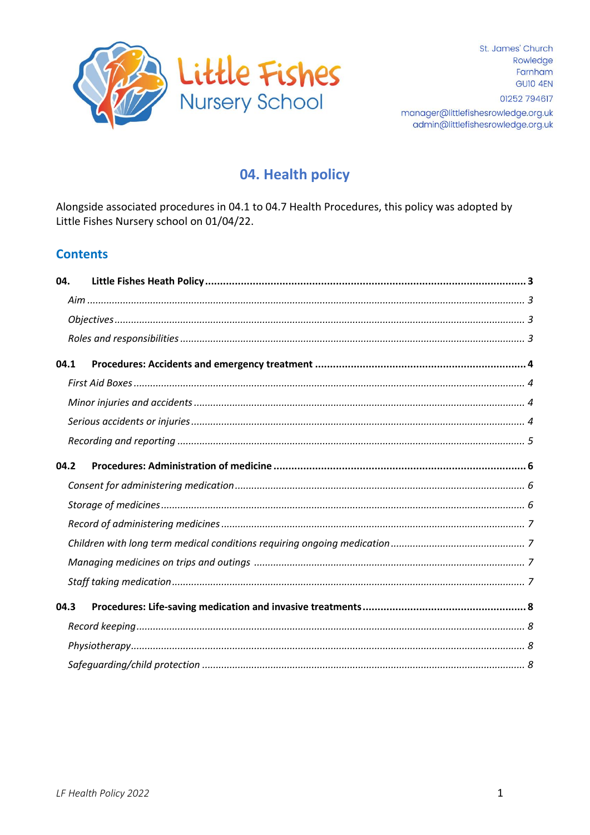

# 04. Health policy

Alongside associated procedures in 04.1 to 04.7 Health Procedures, this policy was adopted by Little Fishes Nursery school on 01/04/22.

# **Contents**

| 04.  |  |
|------|--|
|      |  |
|      |  |
|      |  |
| 04.1 |  |
|      |  |
|      |  |
|      |  |
|      |  |
| 04.2 |  |
|      |  |
|      |  |
|      |  |
|      |  |
|      |  |
|      |  |
| 04.3 |  |
|      |  |
|      |  |
|      |  |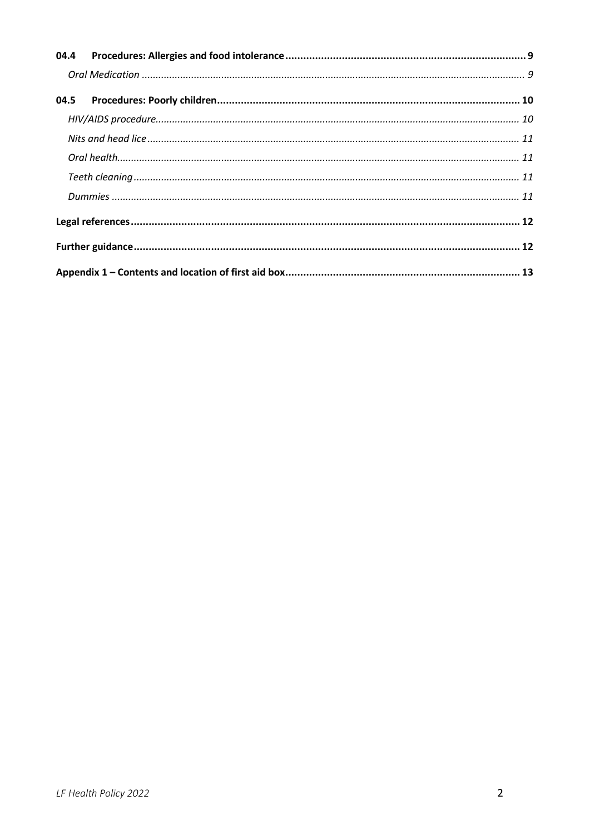<span id="page-1-0"></span>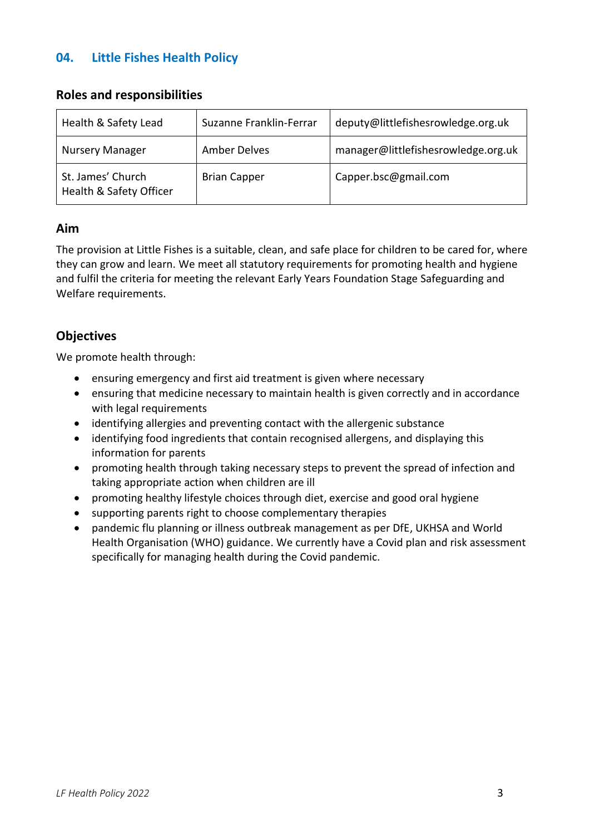# **04. Little Fishes Health Policy**

#### <span id="page-2-2"></span>**Roles and responsibilities**

| Health & Safety Lead                         | Suzanne Franklin-Ferrar | deputy@littlefishesrowledge.org.uk  |
|----------------------------------------------|-------------------------|-------------------------------------|
| <b>Nursery Manager</b>                       | <b>Amber Delves</b>     | manager@littlefishesrowledge.org.uk |
| St. James' Church<br>Health & Safety Officer | <b>Brian Capper</b>     | Capper.bsc@gmail.com                |

#### <span id="page-2-0"></span>**Aim**

The provision at Little Fishes is a suitable, clean, and safe place for children to be cared for, where they can grow and learn. We meet all statutory requirements for promoting health and hygiene and fulfil the criteria for meeting the relevant Early Years Foundation Stage Safeguarding and Welfare requirements.

# <span id="page-2-1"></span>**Objectives**

We promote health through:

- ensuring emergency and first aid treatment is given where necessary
- ensuring that medicine necessary to maintain health is given correctly and in accordance with legal requirements
- identifying allergies and preventing contact with the allergenic substance
- identifying food ingredients that contain recognised allergens, and displaying this information for parents
- promoting health through taking necessary steps to prevent the spread of infection and taking appropriate action when children are ill
- promoting healthy lifestyle choices through diet, exercise and good oral hygiene
- supporting parents right to choose complementary therapies
- pandemic flu planning or illness outbreak management as per DfE, UKHSA and World Health Organisation (WHO) guidance. We currently have a Covid plan and risk assessment specifically for managing health during the Covid pandemic.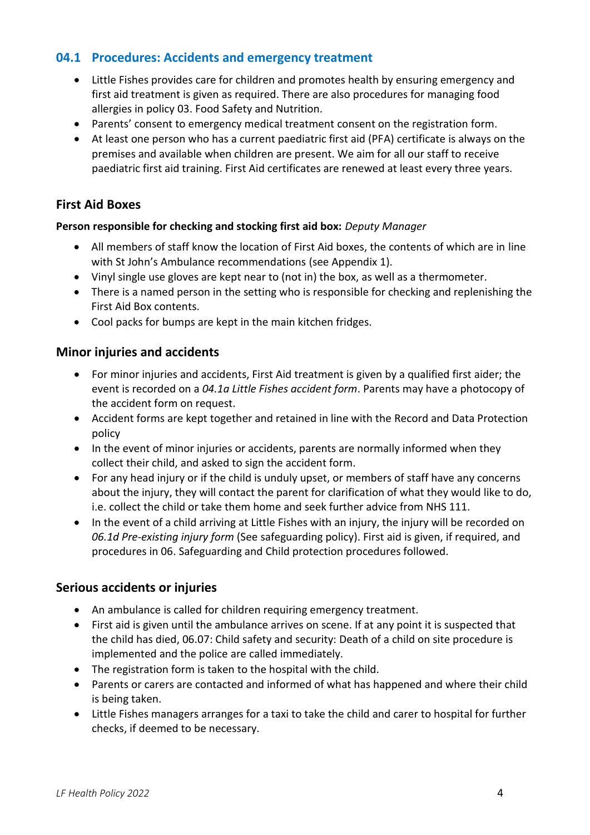#### <span id="page-3-0"></span>**04.1 Procedures: Accidents and emergency treatment**

- Little Fishes provides care for children and promotes health by ensuring emergency and first aid treatment is given as required. There are also procedures for managing food allergies in policy 03. Food Safety and Nutrition.
- Parents' consent to emergency medical treatment consent on the registration form.
- At least one person who has a current paediatric first aid (PFA) certificate is always on the premises and available when children are present. We aim for all our staff to receive paediatric first aid training. First Aid certificates are renewed at least every three years.

#### <span id="page-3-1"></span>**First Aid Boxes**

#### **Person responsible for checking and stocking first aid box:** *Deputy Manager*

- All members of staff know the location of First Aid boxes, the contents of which are in line with St John's Ambulance recommendations (see Appendix 1).
- Vinyl single use gloves are kept near to (not in) the box, as well as a thermometer.
- There is a named person in the setting who is responsible for checking and replenishing the First Aid Box contents.
- Cool packs for bumps are kept in the main kitchen fridges.

#### <span id="page-3-2"></span>**Minor injuries and accidents**

- For minor injuries and accidents, First Aid treatment is given by a qualified first aider; the event is recorded on a *04.1a Little Fishes accident form*. Parents may have a photocopy of the accident form on request.
- Accident forms are kept together and retained in line with the Record and Data Protection policy
- In the event of minor injuries or accidents, parents are normally informed when they collect their child, and asked to sign the accident form.
- For any head injury or if the child is unduly upset, or members of staff have any concerns about the injury, they will contact the parent for clarification of what they would like to do, i.e. collect the child or take them home and seek further advice from NHS 111.
- In the event of a child arriving at Little Fishes with an injury, the injury will be recorded on *06.1d Pre-existing injury form* (See safeguarding policy). First aid is given, if required, and procedures in 06. Safeguarding and Child protection procedures followed.

#### <span id="page-3-3"></span>**Serious accidents or injuries**

- An ambulance is called for children requiring emergency treatment.
- First aid is given until the ambulance arrives on scene. If at any point it is suspected that the child has died, 06.07: Child safety and security: Death of a child on site procedure is implemented and the police are called immediately.
- The registration form is taken to the hospital with the child.
- Parents or carers are contacted and informed of what has happened and where their child is being taken.
- Little Fishes managers arranges for a taxi to take the child and carer to hospital for further checks, if deemed to be necessary.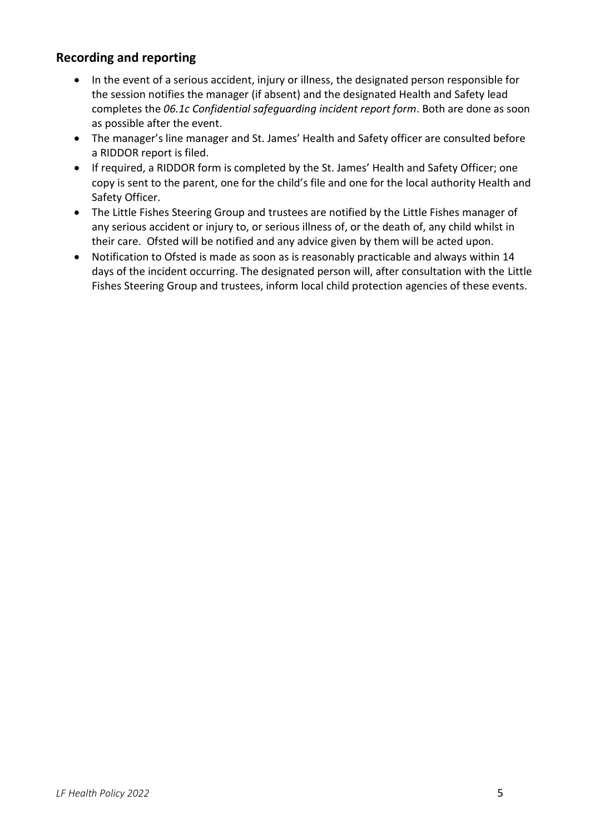### <span id="page-4-0"></span>**Recording and reporting**

- In the event of a serious accident, injury or illness, the designated person responsible for the session notifies the manager (if absent) and the designated Health and Safety lead completes the *06.1c Confidential safeguarding incident report form*. Both are done as soon as possible after the event.
- The manager's line manager and St. James' Health and Safety officer are consulted before a RIDDOR report is filed.
- If required, a RIDDOR form is completed by the St. James' Health and Safety Officer; one copy is sent to the parent, one for the child's file and one for the local authority Health and Safety Officer.
- The Little Fishes Steering Group and trustees are notified by the Little Fishes manager of any serious accident or injury to, or serious illness of, or the death of, any child whilst in their care. Ofsted will be notified and any advice given by them will be acted upon.
- Notification to Ofsted is made as soon as is reasonably practicable and always within 14 days of the incident occurring. The designated person will, after consultation with the Little Fishes Steering Group and trustees, inform local child protection agencies of these events.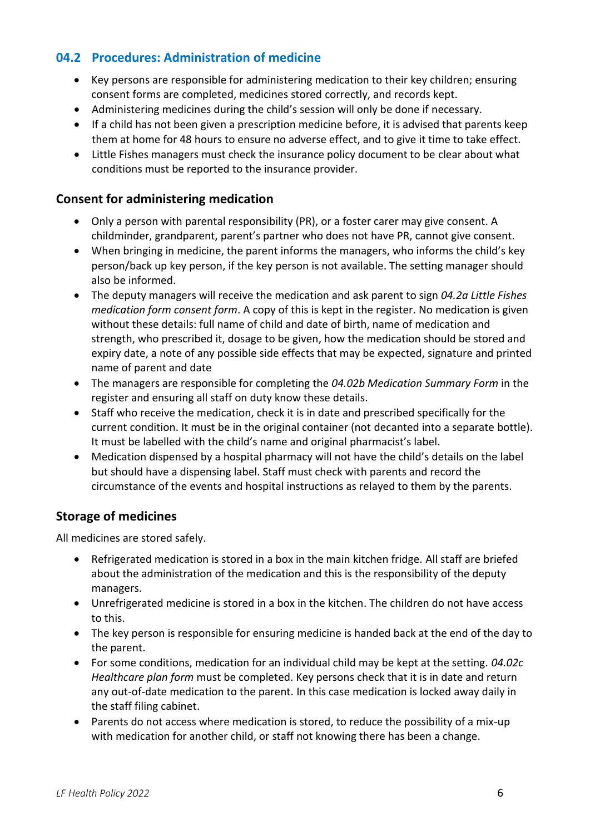#### <span id="page-5-0"></span>**04.2 Procedures: Administration of medicine**

- Key persons are responsible for administering medication to their key children; ensuring consent forms are completed, medicines stored correctly, and records kept.
- Administering medicines during the child's session will only be done if necessary.
- If a child has not been given a prescription medicine before, it is advised that parents keep them at home for 48 hours to ensure no adverse effect, and to give it time to take effect.
- Little Fishes managers must check the insurance policy document to be clear about what conditions must be reported to the insurance provider.

#### <span id="page-5-1"></span>**Consent for administering medication**

- Only a person with parental responsibility (PR), or a foster carer may give consent. A childminder, grandparent, parent's partner who does not have PR, cannot give consent.
- When bringing in medicine, the parent informs the managers, who informs the child's key person/back up key person, if the key person is not available. The setting manager should also be informed.
- The deputy managers will receive the medication and ask parent to sign *04.2a Little Fishes medication form consent form*. A copy of this is kept in the register. No medication is given without these details: full name of child and date of birth, name of medication and strength, who prescribed it, dosage to be given, how the medication should be stored and expiry date, a note of any possible side effects that may be expected, signature and printed name of parent and date
- The managers are responsible for completing the *04.02b Medication Summary Form* in the register and ensuring all staff on duty know these details.
- Staff who receive the medication, check it is in date and prescribed specifically for the current condition. It must be in the original container (not decanted into a separate bottle). It must be labelled with the child's name and original pharmacist's label.
- Medication dispensed by a hospital pharmacy will not have the child's details on the label but should have a dispensing label. Staff must check with parents and record the circumstance of the events and hospital instructions as relayed to them by the parents.

# <span id="page-5-2"></span>**Storage of medicines**

All medicines are stored safely.

- Refrigerated medication is stored in a box in the main kitchen fridge. All staff are briefed about the administration of the medication and this is the responsibility of the deputy managers.
- Unrefrigerated medicine is stored in a box in the kitchen. The children do not have access to this.
- The key person is responsible for ensuring medicine is handed back at the end of the day to the parent.
- For some conditions, medication for an individual child may be kept at the setting. *04.02c Healthcare plan form* must be completed. Key persons check that it is in date and return any out-of-date medication to the parent. In this case medication is locked away daily in the staff filing cabinet.
- Parents do not access where medication is stored, to reduce the possibility of a mix-up with medication for another child, or staff not knowing there has been a change.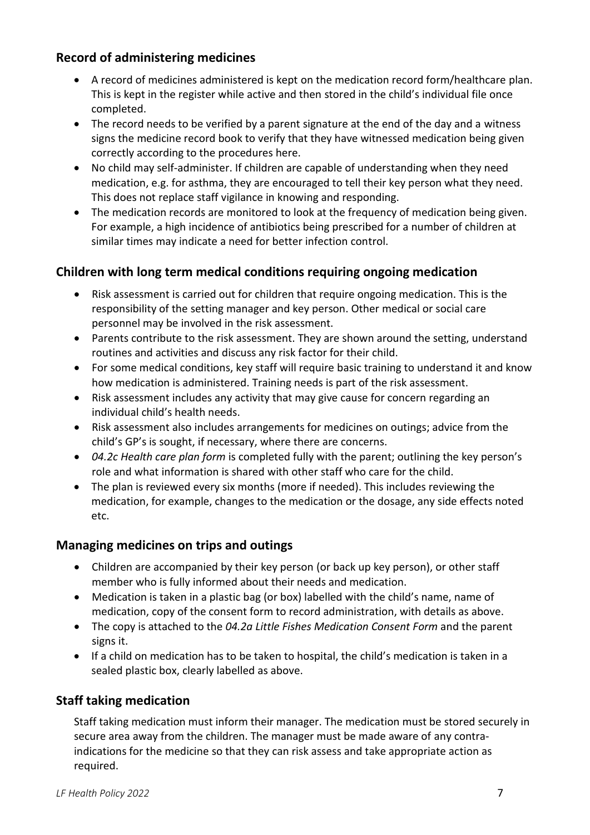### <span id="page-6-0"></span>**Record of administering medicines**

- A record of medicines administered is kept on the medication record form/healthcare plan. This is kept in the register while active and then stored in the child's individual file once completed.
- The record needs to be verified by a parent signature at the end of the day and a witness signs the medicine record book to verify that they have witnessed medication being given correctly according to the procedures here.
- No child may self-administer. If children are capable of understanding when they need medication, e.g. for asthma, they are encouraged to tell their key person what they need. This does not replace staff vigilance in knowing and responding.
- The medication records are monitored to look at the frequency of medication being given. For example, a high incidence of antibiotics being prescribed for a number of children at similar times may indicate a need for better infection control.

# <span id="page-6-1"></span>**Children with long term medical conditions requiring ongoing medication**

- Risk assessment is carried out for children that require ongoing medication. This is the responsibility of the setting manager and key person. Other medical or social care personnel may be involved in the risk assessment.
- Parents contribute to the risk assessment. They are shown around the setting, understand routines and activities and discuss any risk factor for their child.
- For some medical conditions, key staff will require basic training to understand it and know how medication is administered. Training needs is part of the risk assessment.
- Risk assessment includes any activity that may give cause for concern regarding an individual child's health needs.
- Risk assessment also includes arrangements for medicines on outings; advice from the child's GP's is sought, if necessary, where there are concerns.
- *04.2c Health care plan form* is completed fully with the parent; outlining the key person's role and what information is shared with other staff who care for the child.
- The plan is reviewed every six months (more if needed). This includes reviewing the medication, for example, changes to the medication or the dosage, any side effects noted etc.

# <span id="page-6-2"></span>**Managing medicines on trips and outings**

- Children are accompanied by their key person (or back up key person), or other staff member who is fully informed about their needs and medication.
- Medication is taken in a plastic bag (or box) labelled with the child's name, name of medication, copy of the consent form to record administration, with details as above.
- The copy is attached to the *04.2a Little Fishes Medication Consent Form* and the parent signs it.
- <span id="page-6-3"></span>• If a child on medication has to be taken to hospital, the child's medication is taken in a sealed plastic box, clearly labelled as above.

# **Staff taking medication**

Staff taking medication must inform their manager. The medication must be stored securely in secure area away from the children. The manager must be made aware of any contraindications for the medicine so that they can risk assess and take appropriate action as required.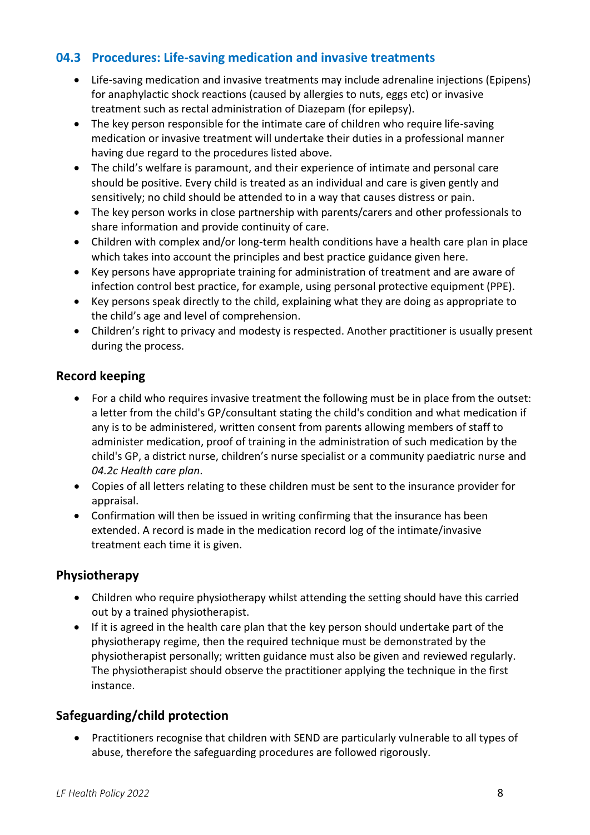### <span id="page-7-0"></span>**04.3 Procedures: Life-saving medication and invasive treatments**

- Life-saving medication and invasive treatments may include adrenaline injections (Epipens) for anaphylactic shock reactions (caused by allergies to nuts, eggs etc) or invasive treatment such as rectal administration of Diazepam (for epilepsy).
- The key person responsible for the intimate care of children who require life-saving medication or invasive treatment will undertake their duties in a professional manner having due regard to the procedures listed above.
- The child's welfare is paramount, and their experience of intimate and personal care should be positive. Every child is treated as an individual and care is given gently and sensitively; no child should be attended to in a way that causes distress or pain.
- The key person works in close partnership with parents/carers and other professionals to share information and provide continuity of care.
- Children with complex and/or long-term health conditions have a health care plan in place which takes into account the principles and best practice guidance given here.
- Key persons have appropriate training for administration of treatment and are aware of infection control best practice, for example, using personal protective equipment (PPE).
- Key persons speak directly to the child, explaining what they are doing as appropriate to the child's age and level of comprehension.
- Children's right to privacy and modesty is respected. Another practitioner is usually present during the process.

### <span id="page-7-1"></span>**Record keeping**

- For a child who requires invasive treatment the following must be in place from the outset: a letter from the child's GP/consultant stating the child's condition and what medication if any is to be administered, written consent from parents allowing members of staff to administer medication, proof of training in the administration of such medication by the child's GP, a district nurse, children's nurse specialist or a community paediatric nurse and *04.2c Health care plan*.
- Copies of all letters relating to these children must be sent to the insurance provider for appraisal.
- Confirmation will then be issued in writing confirming that the insurance has been extended. A record is made in the medication record log of the intimate/invasive treatment each time it is given.

#### <span id="page-7-2"></span>**Physiotherapy**

- Children who require physiotherapy whilst attending the setting should have this carried out by a trained physiotherapist.
- If it is agreed in the health care plan that the key person should undertake part of the physiotherapy regime, then the required technique must be demonstrated by the physiotherapist personally; written guidance must also be given and reviewed regularly. The physiotherapist should observe the practitioner applying the technique in the first instance.

# <span id="page-7-3"></span>**Safeguarding/child protection**

• Practitioners recognise that children with SEND are particularly vulnerable to all types of abuse, therefore the safeguarding procedures are followed rigorously.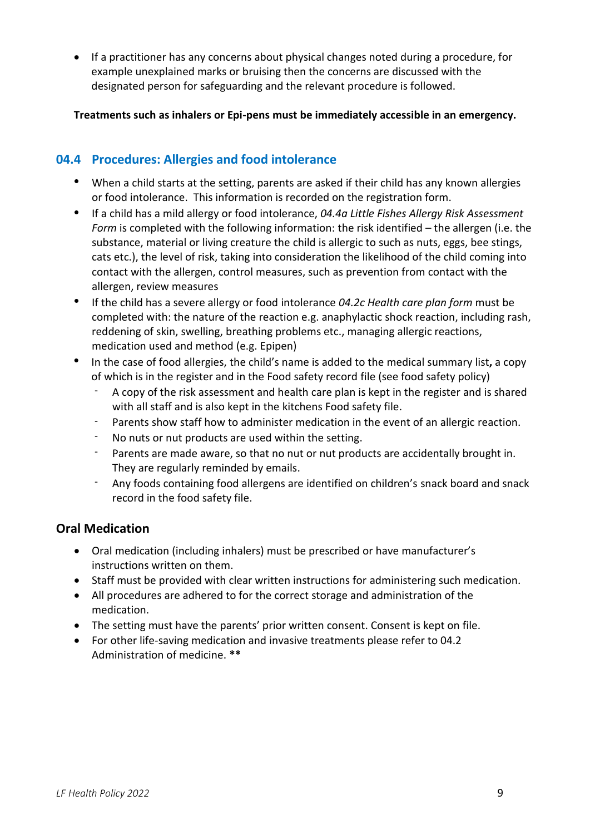• If a practitioner has any concerns about physical changes noted during a procedure, for example unexplained marks or bruising then the concerns are discussed with the designated person for safeguarding and the relevant procedure is followed.

**Treatments such as inhalers or Epi-pens must be immediately accessible in an emergency.**

#### <span id="page-8-0"></span>**04.4 Procedures: Allergies and food intolerance**

- When a child starts at the setting, parents are asked if their child has any known allergies or food intolerance. This information is recorded on the registration form.
- If a child has a mild allergy or food intolerance, *04.4a Little Fishes Allergy Risk Assessment Form* is completed with the following information: the risk identified – the allergen (i.e. the substance, material or living creature the child is allergic to such as nuts, eggs, bee stings, cats etc.), the level of risk, taking into consideration the likelihood of the child coming into contact with the allergen, control measures, such as prevention from contact with the allergen, review measures
- If the child has a severe allergy or food intolerance *04.2c Health care plan form* must be completed with: the nature of the reaction e.g. anaphylactic shock reaction, including rash, reddening of skin, swelling, breathing problems etc., managing allergic reactions, medication used and method (e.g. Epipen)
- In the case of food allergies, the child's name is added to the medical summary list**,** a copy of which is in the register and in the Food safety record file (see food safety policy)
	- A copy of the risk assessment and health care plan is kept in the register and is shared with all staff and is also kept in the kitchens Food safety file.
	- Parents show staff how to administer medication in the event of an allergic reaction.
	- No nuts or nut products are used within the setting.
	- Parents are made aware, so that no nut or nut products are accidentally brought in. They are regularly reminded by emails.
	- Any foods containing food allergens are identified on children's snack board and snack record in the food safety file.

#### <span id="page-8-1"></span>**Oral Medication**

- Oral medication (including inhalers) must be prescribed or have manufacturer's instructions written on them.
- Staff must be provided with clear written instructions for administering such medication.
- All procedures are adhered to for the correct storage and administration of the medication.
- The setting must have the parents' prior written consent. Consent is kept on file.
- For other life-saving medication and invasive treatments please refer to 04.2 Administration of medicine. **\*\***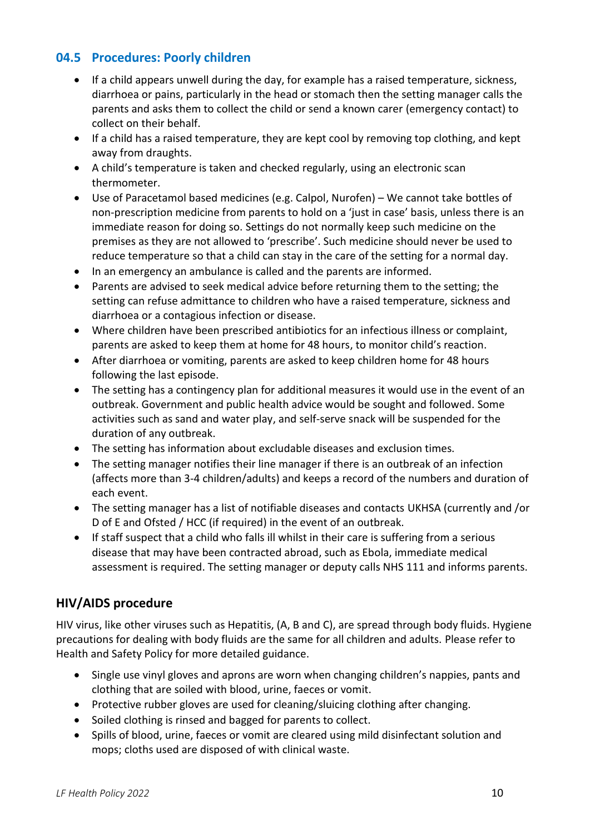### <span id="page-9-0"></span>**04.5 Procedures: Poorly children**

- If a child appears unwell during the day, for example has a raised temperature, sickness, diarrhoea or pains, particularly in the head or stomach then the setting manager calls the parents and asks them to collect the child or send a known carer (emergency contact) to collect on their behalf.
- If a child has a raised temperature, they are kept cool by removing top clothing, and kept away from draughts.
- A child's temperature is taken and checked regularly, using an electronic scan thermometer.
- Use of Paracetamol based medicines (e.g. Calpol, Nurofen) We cannot take bottles of non-prescription medicine from parents to hold on a 'just in case' basis, unless there is an immediate reason for doing so. Settings do not normally keep such medicine on the premises as they are not allowed to 'prescribe'. Such medicine should never be used to reduce temperature so that a child can stay in the care of the setting for a normal day.
- In an emergency an ambulance is called and the parents are informed.
- Parents are advised to seek medical advice before returning them to the setting; the setting can refuse admittance to children who have a raised temperature, sickness and diarrhoea or a contagious infection or disease.
- Where children have been prescribed antibiotics for an infectious illness or complaint, parents are asked to keep them at home for 48 hours, to monitor child's reaction.
- After diarrhoea or vomiting, parents are asked to keep children home for 48 hours following the last episode.
- The setting has a contingency plan for additional measures it would use in the event of an outbreak. Government and public health advice would be sought and followed. Some activities such as sand and water play, and self-serve snack will be suspended for the duration of any outbreak.
- The setting has information about excludable diseases and exclusion times.
- The setting manager notifies their line manager if there is an outbreak of an infection (affects more than 3-4 children/adults) and keeps a record of the numbers and duration of each event.
- The setting manager has a list of notifiable diseases and contacts UKHSA (currently and /or D of E and Ofsted / HCC (if required) in the event of an outbreak.
- If staff suspect that a child who falls ill whilst in their care is suffering from a serious disease that may have been contracted abroad, such as Ebola, immediate medical assessment is required. The setting manager or deputy calls NHS 111 and informs parents.

# <span id="page-9-1"></span>**HIV/AIDS procedure**

HIV virus, like other viruses such as Hepatitis, (A, B and C), are spread through body fluids. Hygiene precautions for dealing with body fluids are the same for all children and adults. Please refer to Health and Safety Policy for more detailed guidance.

- Single use vinyl gloves and aprons are worn when changing children's nappies, pants and clothing that are soiled with blood, urine, faeces or vomit.
- Protective rubber gloves are used for cleaning/sluicing clothing after changing.
- Soiled clothing is rinsed and bagged for parents to collect.
- Spills of blood, urine, faeces or vomit are cleared using mild disinfectant solution and mops; cloths used are disposed of with clinical waste.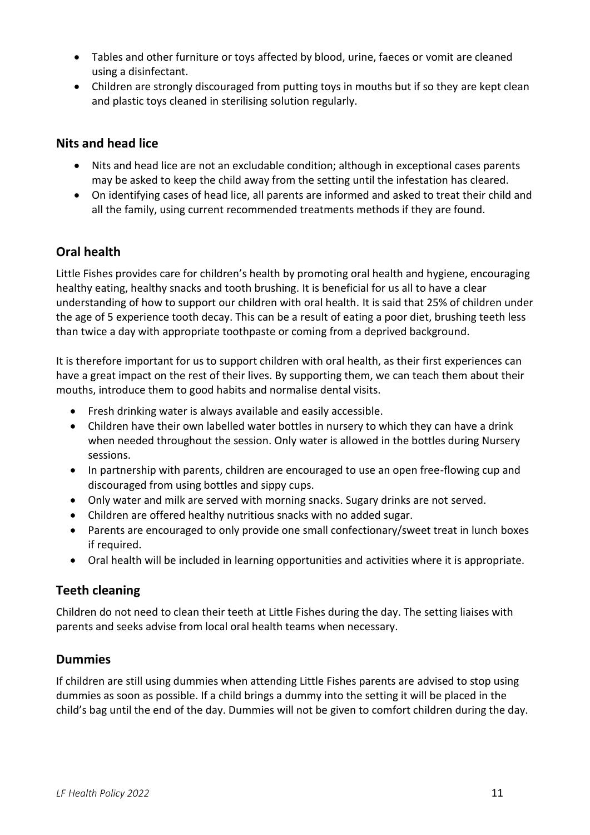- Tables and other furniture or toys affected by blood, urine, faeces or vomit are cleaned using a disinfectant.
- Children are strongly discouraged from putting toys in mouths but if so they are kept clean and plastic toys cleaned in sterilising solution regularly.

### <span id="page-10-0"></span>**Nits and head lice**

- Nits and head lice are not an excludable condition; although in exceptional cases parents may be asked to keep the child away from the setting until the infestation has cleared.
- On identifying cases of head lice, all parents are informed and asked to treat their child and all the family, using current recommended treatments methods if they are found.

# <span id="page-10-1"></span>**Oral health**

Little Fishes provides care for children's health by promoting oral health and hygiene, encouraging healthy eating, healthy snacks and tooth brushing. It is beneficial for us all to have a clear understanding of how to support our children with oral health. It is said that 25% of children under the age of 5 experience tooth decay. This can be a result of eating a poor diet, brushing teeth less than twice a day with appropriate toothpaste or coming from a deprived background.

It is therefore important for us to support children with oral health, as their first experiences can have a great impact on the rest of their lives. By supporting them, we can teach them about their mouths, introduce them to good habits and normalise dental visits.

- Fresh drinking water is always available and easily accessible.
- Children have their own labelled water bottles in nursery to which they can have a drink when needed throughout the session. Only water is allowed in the bottles during Nursery sessions.
- In partnership with parents, children are encouraged to use an open free-flowing cup and discouraged from using bottles and sippy cups.
- Only water and milk are served with morning snacks. Sugary drinks are not served.
- Children are offered healthy nutritious snacks with no added sugar.
- Parents are encouraged to only provide one small confectionary/sweet treat in lunch boxes if required.
- Oral health will be included in learning opportunities and activities where it is appropriate.

# <span id="page-10-2"></span>**Teeth cleaning**

Children do not need to clean their teeth at Little Fishes during the day. The setting liaises with parents and seeks advise from local oral health teams when necessary.

# <span id="page-10-3"></span>**Dummies**

If children are still using dummies when attending Little Fishes parents are advised to stop using dummies as soon as possible. If a child brings a dummy into the setting it will be placed in the child's bag until the end of the day. Dummies will not be given to comfort children during the day.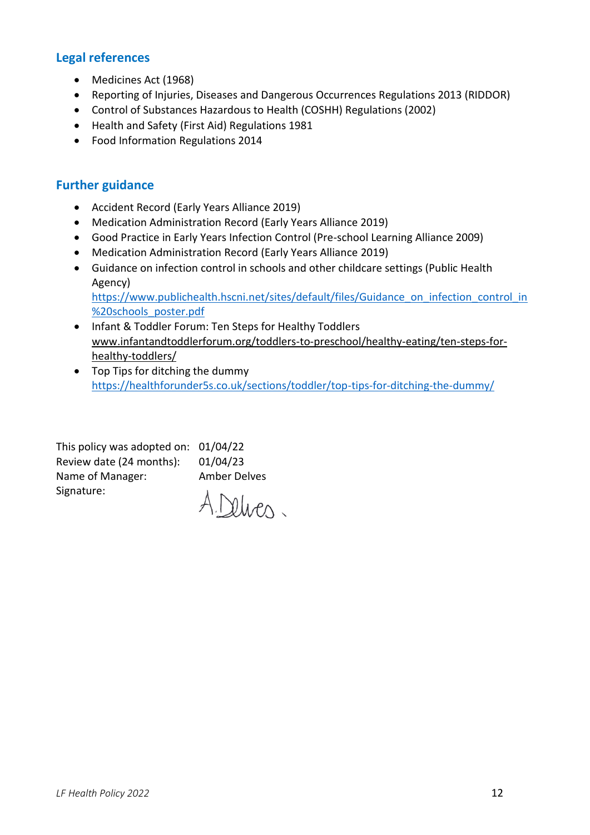#### <span id="page-11-0"></span>**Legal references**

- Medicines Act (1968)
- Reporting of Injuries, Diseases and Dangerous Occurrences Regulations 2013 (RIDDOR)
- Control of Substances Hazardous to Health (COSHH) Regulations (2002)
- Health and Safety (First Aid) Regulations 1981
- Food Information Regulations 2014

#### <span id="page-11-1"></span>**Further guidance**

- Accident Record (Early Years Alliance 2019)
- Medication Administration Record (Early Years Alliance 2019)
- Good Practice in Early Years Infection Control (Pre-school Learning Alliance 2009)
- Medication Administration Record (Early Years Alliance 2019)
- Guidance on infection control in schools and other childcare settings (Public Health Agency)

[https://www.publichealth.hscni.net/sites/default/files/Guidance\\_on\\_infection\\_control\\_in](https://www.publichealth.hscni.net/sites/default/files/Guidance_on_infection_control_in%20schools_poster.pdf) [%20schools\\_poster.pdf](https://www.publichealth.hscni.net/sites/default/files/Guidance_on_infection_control_in%20schools_poster.pdf)

- Infant & Toddler Forum: Ten Steps for Healthy Toddlers [www.infantandtoddlerforum.org/toddlers-to-preschool/healthy-eating/ten-steps-for](http://www.infantandtoddlerforum.org/toddlers-to-preschool/healthy-eating/ten-steps-for-healthy-toddlers/)[healthy-toddlers/](http://www.infantandtoddlerforum.org/toddlers-to-preschool/healthy-eating/ten-steps-for-healthy-toddlers/)
- Top Tips for ditching the dummy <https://healthforunder5s.co.uk/sections/toddler/top-tips-for-ditching-the-dummy/>

<span id="page-11-2"></span>

| This policy was adopted on: 01/04/22 |                     |
|--------------------------------------|---------------------|
| Review date (24 months):             | 01/04/23            |
| Name of Manager:                     | <b>Amber Delves</b> |
| Signature:                           | A Delves.           |